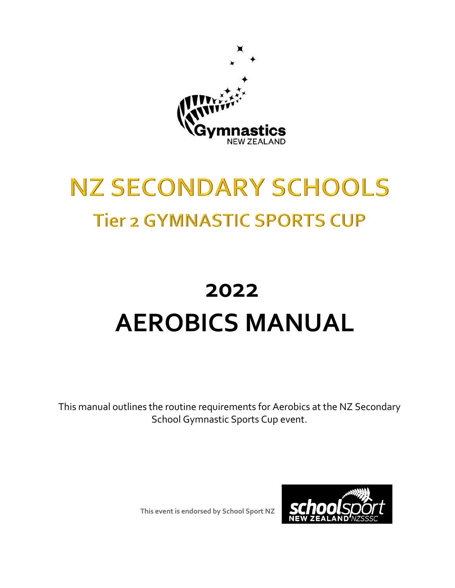

## **NZ SECONDARY SCHOOLS Tier 2 GYMNASTIC SPORTS CUP**

# **2022 AEROBICS MANUAL**

This manual outlines the routine requirements for Aerobics at the NZ Secondary School Gymnastic Sports Cup event.

**This event is endorsed by School Sport NZ**

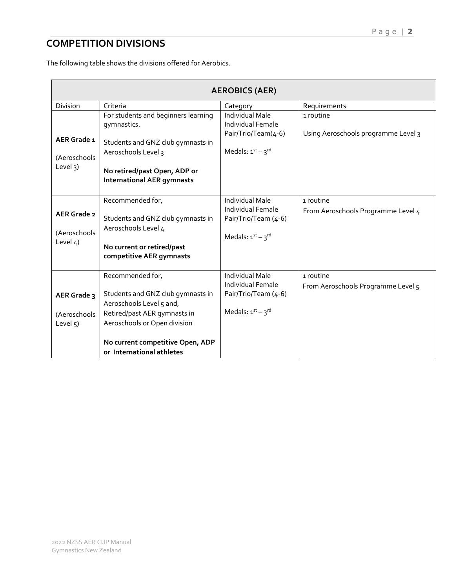### **COMPETITION DIVISIONS**

The following table shows the divisions offered for Aerobics.

| <b>AEROBICS (AER)</b>                          |                                                                                                                                                                                                                    |                                                                                                  |                                                  |  |  |
|------------------------------------------------|--------------------------------------------------------------------------------------------------------------------------------------------------------------------------------------------------------------------|--------------------------------------------------------------------------------------------------|--------------------------------------------------|--|--|
| Division                                       | Criteria                                                                                                                                                                                                           | Category                                                                                         | Requirements                                     |  |  |
| AER Grade 1<br>(Aeroschools<br>Level 3)        | For students and beginners learning<br>gymnastics.<br>Students and GNZ club gymnasts in<br>Aeroschools Level 3<br>No retired/past Open, ADP or<br><b>International AER gymnasts</b>                                | <b>Individual Male</b><br>Individual Female<br>Pair/Trio/Team(4-6)<br>Medals: $1st - 3rd$        | 1 routine<br>Using Aeroschools programme Level 3 |  |  |
| <b>AER Grade 2</b><br>(Aeroschools<br>Level 4) | Recommended for,<br>Students and GNZ club gymnasts in<br>Aeroschools Level 4<br>No current or retired/past<br>competitive AER gymnasts                                                                             | <b>Individual Male</b><br>Individual Female<br>Pair/Trio/Team (4-6)<br>Medals: $1^{st} - 3^{rd}$ | 1 routine<br>From Aeroschools Programme Level 4  |  |  |
| AER Grade 3<br>(Aeroschools<br>Level $5$ )     | Recommended for,<br>Students and GNZ club gymnasts in<br>Aeroschools Level 5 and,<br>Retired/past AER gymnasts in<br>Aeroschools or Open division<br>No current competitive Open, ADP<br>or International athletes | <b>Individual Male</b><br>Individual Female<br>Pair/Trio/Team (4-6)<br>Medals: $1st - 3rd$       | 1 routine<br>From Aeroschools Programme Level 5  |  |  |